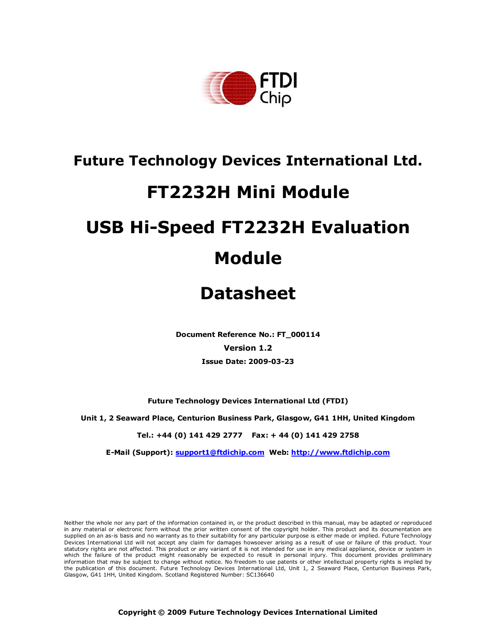

## Future Technology Devices International Ltd.

## FT2232H Mini Module

# USB Hi-Speed FT2232H Evaluation Module

## Datasheet

Document Reference No.: FT\_000114 Version 1.2 Issue Date: 2009-03-23

Future Technology Devices International Ltd (FTDI)

Unit 1, 2 Seaward Place, Centurion Business Park, Glasgow, G41 1HH, United Kingdom

Tel.: +44 (0) 141 429 2777 Fax: + 44 (0) 141 429 2758

E-Mail (Support): support1@ftdichip.com Web: http://www.ftdichip.com

Neither the whole nor any part of the information contained in, or the product described in this manual, may be adapted or reproduced in any material or electronic form without the prior written consent of the copyright holder. This product and its documentation are supplied on an as-is basis and no warranty as to their suitability for any particular purpose is either made or implied. Future Technology Devices International Ltd will not accept any claim for damages howsoever arising as a result of use or failure of this product. Your statutory rights are not affected. This product or any variant of it is not intended for use in any medical appliance, device or system in which the failure of the product might reasonably be expected to result in personal injury. This document provides preliminary information that may be subject to change without notice. No freedom to use patents or other intellectual property rights is implied by the publication of this document. Future Technology Devices International Ltd, Unit 1, 2 Seaward Place, Centurion Business Park, Glasgow, G41 1HH, United Kingdom. Scotland Registered Number: SC136640

Copyright © 2009 Future Technology Devices International Limited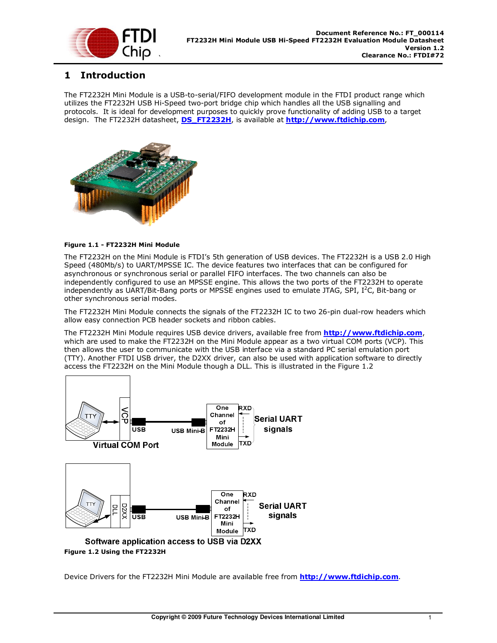

## 1 Introduction

The FT2232H Mini Module is a USB-to-serial/FIFO development module in the FTDI product range which utilizes the FT2232H USB Hi-Speed two-port bridge chip which handles all the USB signalling and protocols. It is ideal for development purposes to quickly prove functionality of adding USB to a target design. The FT2232H datasheet, **DS\_FT2232H**, is available at **http://www.ftdichip.com**,



#### Figure 1.1 - FT2232H Mini Module

The FT2232H on the Mini Module is FTDI's 5th generation of USB devices. The FT2232H is a USB 2.0 High Speed (480Mb/s) to UART/MPSSE IC. The device features two interfaces that can be configured for asynchronous or synchronous serial or parallel FIFO interfaces. The two channels can also be independently configured to use an MPSSE engine. This allows the two ports of the FT2232H to operate independently as UART/Bit-Bang ports or MPSSE engines used to emulate JTAG, SPI,  $I^2C$ , Bit-bang or other synchronous serial modes.

The FT2232H Mini Module connects the signals of the FT2232H IC to two 26-pin dual-row headers which allow easy connection PCB header sockets and ribbon cables.

The FT2232H Mini Module requires USB device drivers, available free from http://www.ftdichip.com, which are used to make the FT2232H on the Mini Module appear as a two virtual COM ports (VCP). This then allows the user to communicate with the USB interface via a standard PC serial emulation port (TTY). Another FTDI USB driver, the D2XX driver, can also be used with application software to directly access the FT2232H on the Mini Module though a DLL. This is illustrated in the Figure 1.2



Device Drivers for the FT2232H Mini Module are available free from http://www.ftdichip.com.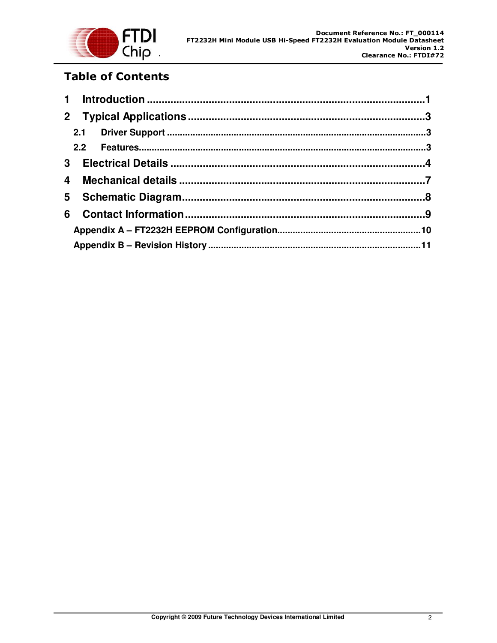

## Table of Contents

|   | 2 <sup>1</sup> |  |  |  |
|---|----------------|--|--|--|
|   |                |  |  |  |
|   |                |  |  |  |
|   | 3 <sup>1</sup> |  |  |  |
| 4 |                |  |  |  |
| 5 |                |  |  |  |
| 6 |                |  |  |  |
|   |                |  |  |  |
|   |                |  |  |  |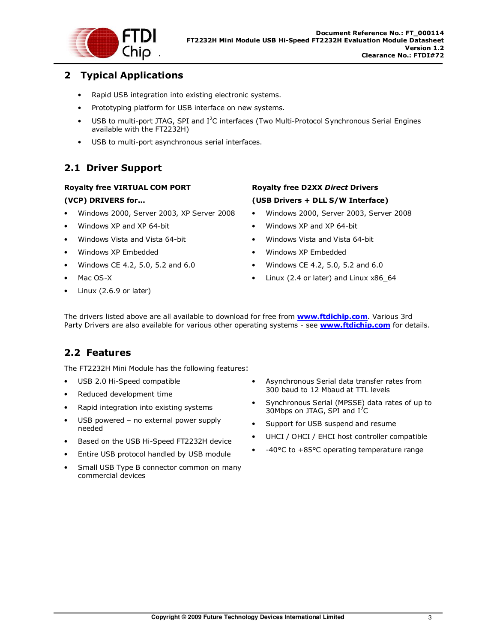

## 2 Typical Applications

- Rapid USB integration into existing electronic systems.
- Prototyping platform for USB interface on new systems.
- USB to multi-port JTAG, SPI and I<sup>2</sup>C interfaces (Two Multi-Protocol Synchronous Serial Engines available with the FT2232H)
- USB to multi-port asynchronous serial interfaces.

## 2.1 Driver Support

#### Royalty free VIRTUAL COM PORT

#### (VCP) DRIVERS for...

- Windows 2000, Server 2003, XP Server 2008
- Windows XP and XP 64-bit
- Windows Vista and Vista 64-bit
- Windows XP Embedded
- Windows CE 4.2, 5.0, 5.2 and 6.0
- Mac OS-X
- Linux (2.6.9 or later)

### Royalty free D2XX Direct Drivers (USB Drivers + DLL S/W Interface)

- Windows 2000, Server 2003, Server 2008
- Windows XP and XP 64-bit
- Windows Vista and Vista 64-bit
- Windows XP Embedded
- Windows CE 4.2, 5.0, 5.2 and 6.0
- Linux (2.4 or later) and Linux x86\_64

The drivers listed above are all available to download for free from **www.ftdichip.com**. Various 3rd Party Drivers are also available for various other operating systems - see **www.ftdichip.com** for details.

## 2.2 Features

The FT2232H Mini Module has the following features:

- USB 2.0 Hi-Speed compatible
- Reduced development time
- Rapid integration into existing systems
- USB powered no external power supply needed
- Based on the USB Hi-Speed FT2232H device
- Entire USB protocol handled by USB module
- Small USB Type B connector common on many commercial devices
- Asynchronous Serial data transfer rates from 300 baud to 12 Mbaud at TTL levels
- Synchronous Serial (MPSSE) data rates of up to 30Mbps on JTAG, SPI and  $I^2C$
- Support for USB suspend and resume
- UHCI / OHCI / EHCI host controller compatible
- -40°C to +85°C operating temperature range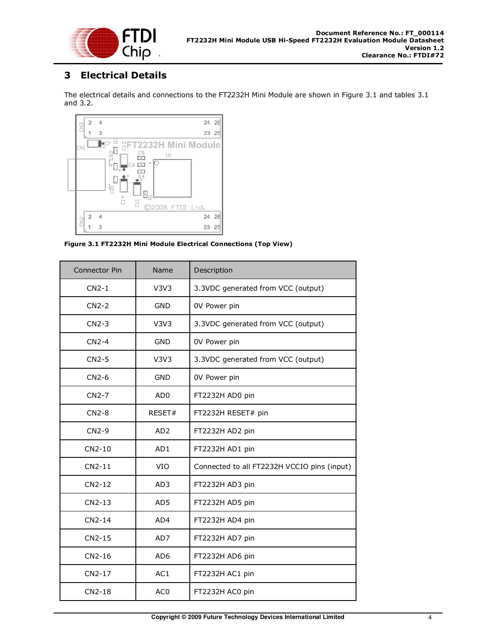

## 3 Electrical Details

The electrical details and connections to the FT2232H Mini Module are shown in Figure 3.1 and tables 3.1 and 3.2.



Figure 3.1 FT2232H Mini Module Electrical Connections (Top View)

| <b>Connector Pin</b> | Name            | Description                                 |
|----------------------|-----------------|---------------------------------------------|
| $CN2-1$              | V3V3            | 3.3VDC generated from VCC (output)          |
| $CN2-2$              | <b>GND</b>      | 0V Power pin                                |
| $CN2-3$              | V3V3            | 3.3VDC generated from VCC (output)          |
| $CN2-4$              | <b>GND</b>      | 0V Power pin                                |
| $CN2-5$              | V3V3            | 3.3VDC generated from VCC (output)          |
| $CN2-6$              | <b>GND</b>      | 0V Power pin                                |
| $CN2-7$              | AD <sub>0</sub> | FT2232H AD0 pin                             |
| $CN2-8$              | RESET#          | FT2232H RESET# pin                          |
| $CN2-9$              | AD <sub>2</sub> | FT2232H AD2 pin                             |
| CN2-10               | AD1             | FT2232H AD1 pin                             |
| $CN2-11$             | VIO             | Connected to all FT2232H VCCIO pins (input) |
| $CN2-12$             | AD3             | FT2232H AD3 pin                             |
| $CN2-13$             | AD <sub>5</sub> | FT2232H AD5 pin                             |
| $CN2-14$             | AD4             | FT2232H AD4 pin                             |
| CN2-15               | AD7             | FT2232H AD7 pin                             |
| CN2-16               | AD <sub>6</sub> | FT2232H AD6 pin                             |
| CN2-17               | AC1             | FT2232H AC1 pin                             |
| CN2-18               | AC <sub>0</sub> | FT2232H AC0 pin                             |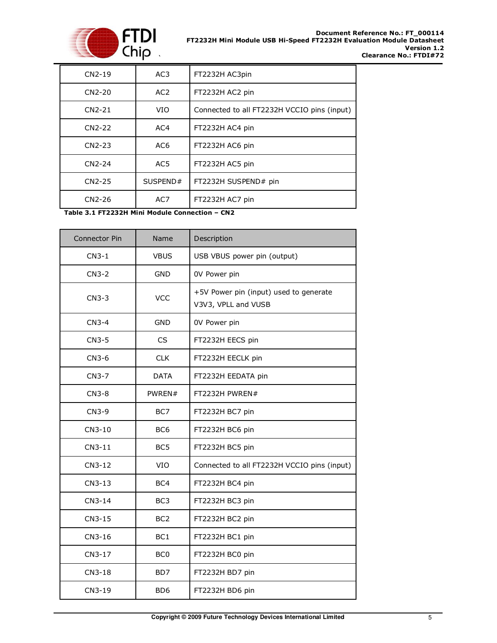

| $CN2-19$ | AC <sub>3</sub> | FT2232H AC3pin                              |
|----------|-----------------|---------------------------------------------|
| $CN2-20$ | AC <sub>2</sub> | FT2232H AC2 pin                             |
| $CN2-21$ | VIO             | Connected to all FT2232H VCCIO pins (input) |
| $CN2-22$ | AC4             | FT2232H AC4 pin                             |
| $CN2-23$ | AC <sub>6</sub> | FT2232H AC6 pin                             |
| CN2-24   | AC5             | FT2232H AC5 pin                             |
| $CN2-25$ | SUSPEND#        | FT2232H SUSPEND# pin                        |
| $CN2-26$ | AC7             | FT2232H AC7 pin                             |

Table 3.1 FT2232H Mini Module Connection – CN2

| <b>Connector Pin</b> | Name             | Description                                                   |
|----------------------|------------------|---------------------------------------------------------------|
| $CN3-1$              | <b>VBUS</b>      | USB VBUS power pin (output)                                   |
| $CN3-2$              | <b>GND</b>       | 0V Power pin                                                  |
| $CN3-3$              | <b>VCC</b>       | +5V Power pin (input) used to generate<br>V3V3, VPLL and VUSB |
| $CN3-4$              | <b>GND</b>       | 0V Power pin                                                  |
| $CN3-5$              | CS               | FT2232H EECS pin                                              |
| $CN3-6$              | <b>CLK</b>       | FT2232H EECLK pin                                             |
| CN3-7                | <b>DATA</b>      | FT2232H EEDATA pin                                            |
| $CN3-8$              | PWREN#           | FT2232H PWREN#                                                |
| $CN3-9$              | BC7              | FT2232H BC7 pin                                               |
| CN3-10               | BC <sub>6</sub>  | FT2232H BC6 pin                                               |
| $CN3-11$             | BC <sub>5</sub>  | FT2232H BC5 pin                                               |
| CN3-12               | VIO              | Connected to all FT2232H VCCIO pins (input)                   |
| CN3-13               | BC4              | FT2232H BC4 pin                                               |
| $CN3-14$             | BC <sub>3</sub>  | FT2232H BC3 pin                                               |
| CN3-15               | BC <sub>2</sub>  | FT2232H BC2 pin                                               |
| CN3-16               | BC <sub>1</sub>  | FT2232H BC1 pin                                               |
| CN3-17               | BC <sub>0</sub>  | FT2232H BC0 pin                                               |
| CN3-18               | B <sub>D</sub> 7 | FT2232H BD7 pin                                               |
| CN3-19               | BD <sub>6</sub>  | FT2232H BD6 pin                                               |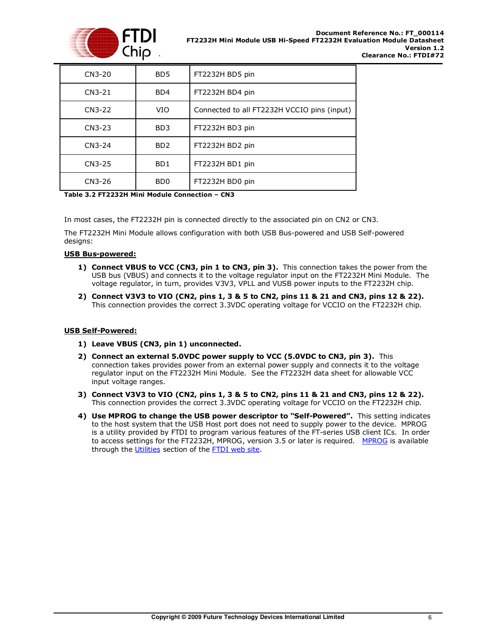

| CN3-20   | BD5                         | FT2232H BD5 pin                             |
|----------|-----------------------------|---------------------------------------------|
| $CN3-21$ | BD4                         | FT2232H BD4 pin                             |
| CN3-22   | <b>VIO</b>                  | Connected to all FT2232H VCCIO pins (input) |
| $CN3-23$ | BD <sub>3</sub>             | FT2232H BD3 pin                             |
| CN3-24   | BD <sub>2</sub>             | FT2232H BD2 pin                             |
| CN3-25   | B <sub>D</sub> 1            | FT2232H BD1 pin                             |
| CN3-26   | B <sub>D</sub> <sub>0</sub> | FT2232H BD0 pin                             |

#### Table 3.2 FT2232H Mini Module Connection – CN3

In most cases, the FT2232H pin is connected directly to the associated pin on CN2 or CN3.

The FT2232H Mini Module allows configuration with both USB Bus-powered and USB Self-powered designs:

#### USB Bus-powered:

- 1) Connect VBUS to VCC (CN3, pin 1 to CN3, pin 3). This connection takes the power from the USB bus (VBUS) and connects it to the voltage regulator input on the FT2232H Mini Module. The voltage regulator, in turn, provides V3V3, VPLL and VUSB power inputs to the FT2232H chip.
- 2) Connect V3V3 to VIO (CN2, pins 1, 3 & 5 to CN2, pins 11 & 21 and CN3, pins 12 & 22). This connection provides the correct 3.3VDC operating voltage for VCCIO on the FT2232H chip.

#### USB Self-Powered:

- 1) Leave VBUS (CN3, pin 1) unconnected.
- 2) Connect an external 5.0VDC power supply to VCC (5.0VDC to CN3, pin 3). This connection takes provides power from an external power supply and connects it to the voltage regulator input on the FT2232H Mini Module. See the FT2232H data sheet for allowable VCC input voltage ranges.
- 3) Connect V3V3 to VIO (CN2, pins 1, 3 & 5 to CN2, pins 11 & 21 and CN3, pins 12 & 22). This connection provides the correct 3.3VDC operating voltage for VCCIO on the FT2232H chip.
- 4) Use MPROG to change the USB power descriptor to "Self-Powered". This setting indicates to the host system that the USB Host port does not need to supply power to the device. MPROG is a utility provided by FTDI to program various features of the FT-series USB client ICs. In order to access settings for the FT2232H, MPROG, version 3.5 or later is required. MPROG is available through the Utilities section of the FTDI web site.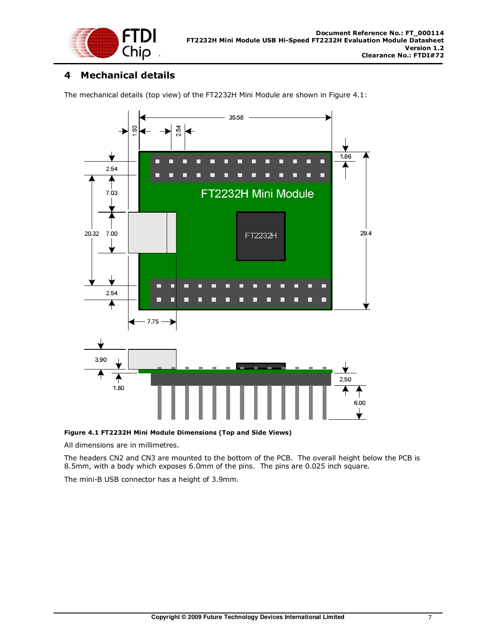

## 4 Mechanical details

The mechanical details (top view) of the FT2232H Mini Module are shown in Figure 4.1:



Figure 4.1 FT2232H Mini Module Dimensions (Top and Side Views)

All dimensions are in millimetres.

The headers CN2 and CN3 are mounted to the bottom of the PCB. The overall height below the PCB is 8.5mm, with a body which exposes 6.0mm of the pins. The pins are 0.025 inch square.

The mini-B USB connector has a height of 3.9mm.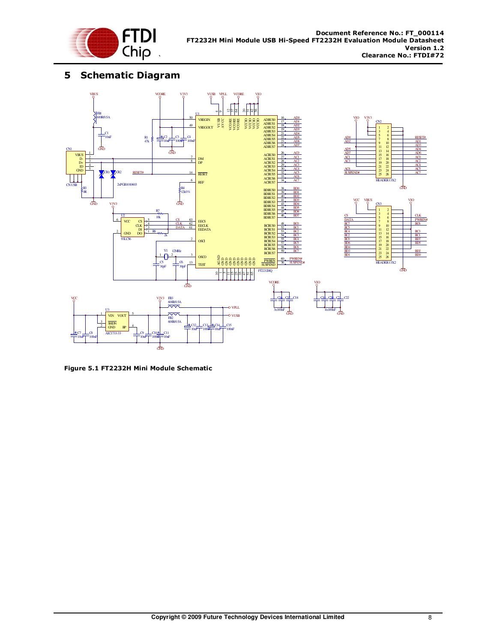

## 5 Schematic Diagram



Figure 5.1 FT2232H Mini Module Schematic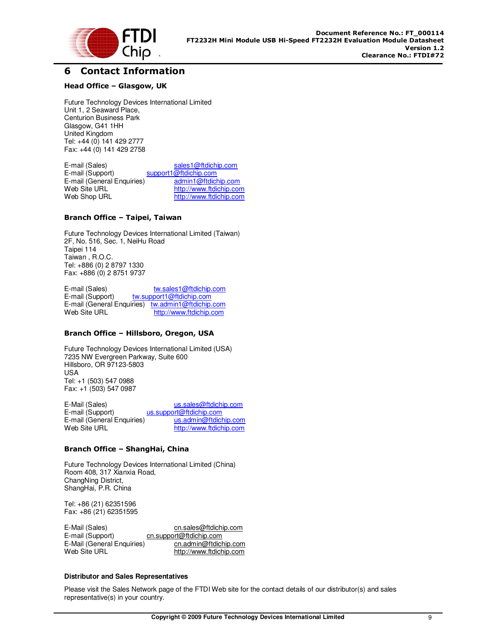

### 6 Contact Information

#### Head Office – Glasgow, UK

Future Technology Devices International Limited Unit 1, 2 Seaward Place, Centurion Business Park Glasgow, G41 1HH United Kingdom Tel: +44 (0) 141 429 2777 Fax: +44 (0) 141 429 2758

E-mail (Sales) sales1@ftdichip.com<br>
E-mail (Support) support1@ftdichip.com support1@ftdichip.com<br>admin1@ftdichip.com E-mail (General Enquiries)<br>Web Site URL Web Site URL http://www.ftdichip.com<br>Web Shop URL http://www.ftdichip.com http://www.ftdichip.com

#### Branch Office – Taipei, Taiwan

Future Technology Devices International Limited (Taiwan) 2F, No. 516, Sec. 1, NeiHu Road Taipei 114 Taiwan , R.O.C. Tel: +886 (0) 2 8797 1330 Fax: +886 (0) 2 8751 9737

E-mail (Sales) tw.sales1@ftdichip.com E-mail (Support) tw.support1@ftdichip.com E-mail (General Enquiries) tw.admin1@ftdichip.com Web Site URL http://www.ftdichip.com

#### Branch Office – Hillsboro, Oregon, USA

Future Technology Devices International Limited (USA) 7235 NW Evergreen Parkway, Suite 600 Hillsboro, OR 97123-5803 USA Tel: +1 (503) 547 0988 Fax: +1 (503) 547 0987

E-Mail (Sales) us.sales@ftdichip.com<br>
E-mail (Support) us.support@ftdichip.com us.support@ftdichip.com<br>us.admin@ftdichip.com E-mail (General Enquiries)<br>Web Site URL http://www.ftdichip.com

#### Branch Office – ShangHai, China

Future Technology Devices International Limited (China) Room 408, 317 Xianxia Road, ChangNing District, ShangHai, P.R. China

Tel: +86 (21) 62351596 Fax: +86 (21) 62351595

E-Mail (Sales) cn.sales@ftdichip.com<br>E-mail (Support) cn.support@ftdichip.com cn.support@ftdichip.com E-Mail (General Enquiries) cn.admin@ftdichip.com<br>Web Site URL build build build build http://www.ftdichip.com http://www.ftdichip.com

#### **Distributor and Sales Representatives**

Please visit the Sales Network page of the FTDI Web site for the contact details of our distributor(s) and sales representative(s) in your country.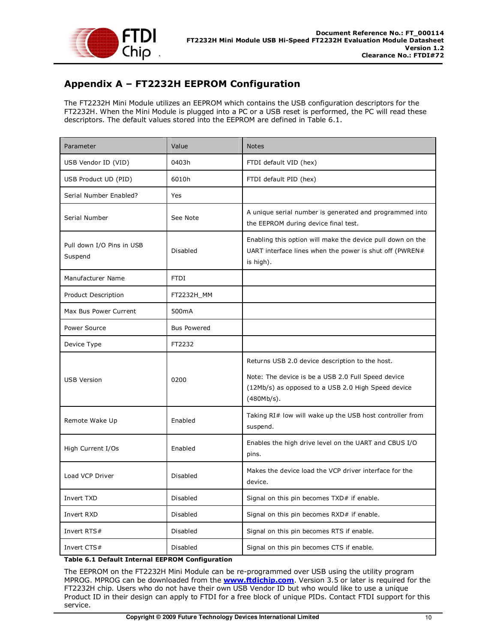

## Appendix A – FT2232H EEPROM Configuration

The FT2232H Mini Module utilizes an EEPROM which contains the USB configuration descriptors for the FT2232H. When the Mini Module is plugged into a PC or a USB reset is performed, the PC will read these descriptors. The default values stored into the EEPROM are defined in Table 6.1.

| Parameter                            | Value              | <b>Notes</b>                                                                                                                                                              |
|--------------------------------------|--------------------|---------------------------------------------------------------------------------------------------------------------------------------------------------------------------|
| USB Vendor ID (VID)                  | 0403h              | FTDI default VID (hex)                                                                                                                                                    |
| USB Product UD (PID)                 | 6010h              | FTDI default PID (hex)                                                                                                                                                    |
| Serial Number Enabled?               | Yes                |                                                                                                                                                                           |
| Serial Number                        | See Note           | A unique serial number is generated and programmed into<br>the EEPROM during device final test.                                                                           |
| Pull down I/O Pins in USB<br>Suspend | Disabled           | Enabling this option will make the device pull down on the<br>UART interface lines when the power is shut off (PWREN#<br>is high).                                        |
| Manufacturer Name                    | <b>FTDI</b>        |                                                                                                                                                                           |
| Product Description                  | FT2232H_MM         |                                                                                                                                                                           |
| Max Bus Power Current                | 500mA              |                                                                                                                                                                           |
| Power Source                         | <b>Bus Powered</b> |                                                                                                                                                                           |
| Device Type                          | FT2232             |                                                                                                                                                                           |
| <b>USB Version</b>                   | 0200               | Returns USB 2.0 device description to the host.<br>Note: The device is be a USB 2.0 Full Speed device<br>(12Mb/s) as opposed to a USB 2.0 High Speed device<br>(480Mb/s). |
| Remote Wake Up                       | Enabled            | Taking RI# low will wake up the USB host controller from<br>suspend.                                                                                                      |
| High Current I/Os                    | Enabled            | Enables the high drive level on the UART and CBUS I/O<br>pins.                                                                                                            |
| Load VCP Driver                      | Disabled           | Makes the device load the VCP driver interface for the<br>device.                                                                                                         |
| Invert TXD                           | Disabled           | Signal on this pin becomes TXD# if enable.                                                                                                                                |
| Invert RXD                           | Disabled           | Signal on this pin becomes RXD# if enable.                                                                                                                                |
| Invert $RTS#$                        | Disabled           | Signal on this pin becomes RTS if enable.                                                                                                                                 |
| Invert CTS#                          | Disabled           | Signal on this pin becomes CTS if enable.                                                                                                                                 |

Table 6.1 Default Internal EEPROM Configuration

The EEPROM on the FT2232H Mini Module can be re-programmed over USB using the utility program MPROG. MPROG can be downloaded from the **www.ftdichip.com**. Version 3.5 or later is required for the FT2232H chip. Users who do not have their own USB Vendor ID but who would like to use a unique Product ID in their design can apply to FTDI for a free block of unique PIDs. Contact FTDI support for this service.